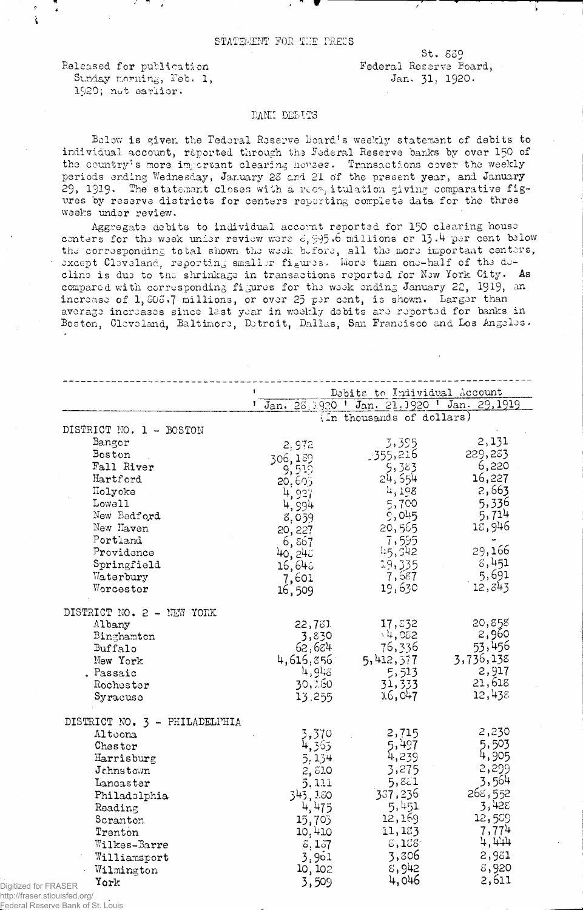## STATEMENT FOR THE PRECS

Released for publication Sunday morning, Peb. 1, 1920; not earlier.

 $St.839$ Federal Reserve Board, Jan. 31, 1920.

## DANK DELITS

Below is given the Federal Reserve Board's weekly statement of debits to individual account, reported through the Federal Reserve banks by over 150 of the country's more important clearing houses. Transactions cover the weekly periods ending Wednesday, January 28 and 21 of the present year, and January 29, 1919. The statement closes with a recognitulation giving comparative figures by reserve districts for centers reporting complete data for the three weeks under review.

Aggregate debits to individual account reported for 150 clearing house centers for the week under review were  $d$ , 995.6 millions or 13.4 per cent below the corresponding total shown the week before, all the more important centers, except Cleveland, reporting smaller figures. More than one-half of the decline is due to the shrinkage in transactions reported for New York City. As compared with corresponding figures for the week ending January 22, 1919, an increase of 1, 506.7 millions, or over 25 per cent, is shown. Larger than average increases since last year in weekly debits are reported for banks in Boston, Cleveland, Baltimore, Detroit, Dallas, San Francisco and Los Angeles.

|                               | Debits to Individual Account                  |                           |           |
|-------------------------------|-----------------------------------------------|---------------------------|-----------|
|                               | Jan. 28, 1920 ' Jan. 21, 1920 ' Jan. 29, 1919 |                           |           |
|                               |                                               | (In thousands of dollars) |           |
| DISTRICT NO. 1 - BOSTON       |                                               |                           |           |
| Bangor                        | 2,972                                         | 3,395                     | 2,131     |
| Boston                        | 306,189                                       | 355,216.                  | 229,283   |
| Fall River                    | 9,519                                         | 5,383                     | 6,220     |
| Hartford                      | 20,605                                        | 24,554                    | 16,227    |
| Holyoke                       | 4,927                                         | 4,198                     | 2,663     |
| Lowell                        | 4,994                                         | 5,700                     | 5,336     |
| New Bedford                   | 8,059                                         | 9,045                     | 5,714     |
| New Haven                     | 20, 227                                       | 20,565                    | 18,946    |
| Portland                      | 6,857                                         | 7,595                     |           |
| Providence                    | 40, 245                                       | 45, 542                   | 29,166    |
| Springfield                   | 16,646                                        | 19,335                    | 8,451     |
| Waterbury                     | 7,601                                         | 7,687                     | 5,691     |
| Worcester                     | 16,509                                        | 19,630                    | 12,343    |
| DISTRICT NO. 2 - NEW YORK     |                                               |                           |           |
| Albany                        | 22,731                                        | 17,832                    | 20,858    |
| Binghamton                    | 3,830                                         | $\cdot$ 4,082             | 2,960     |
| Buffalo                       | 62,684                                        | 76,336                    | 53,456    |
| New York                      | 4,616,856                                     | 5, 412, 377               | 3,736,138 |
| , Passaic                     | 4,9.8                                         | 5,513                     | 2,917     |
| Rochester                     | 30,360                                        | 31,333                    | 21,618    |
| Syracuse                      | 13,255                                        | 16,047                    | 12,438    |
| DISTRICT NO. 3 - PHILADELPHIA |                                               |                           |           |
| Altoona                       | 3,370                                         | 2,715                     | 2,230     |
| Chester                       | 4,365                                         | 5,497                     | 5,503     |
| Harrisburg                    | 5,134                                         | 4,239                     | 4,905     |
| Jchnstown                     | 2,810                                         | 3,275                     | 2,299     |
| Lancaster                     | 5,111                                         | 5,851                     | 3,564     |
| Philadolphia                  | 343, 3.80                                     | 357,236                   | 268,552   |
| Reading                       | 4,475                                         | 5,451                     | 3,428     |
| Scranton                      | 15,705                                        | 12,169                    | 12,559    |
| Trenton                       | 10,410                                        | 11,183                    | 7,774     |
| Wilkes-Barre                  | 5,157                                         | $\S$ , 1 $\S$ $S'$        | 4,444     |
| Williamsport                  | 3,961                                         | 3,306                     | 2,981     |
| Wilmington                    | 10, 102                                       | 8,942                     | 8,920     |
| York                          | 3,509                                         | 4,046                     | 2,611     |

http://fraser.stlouisfed.org/ Federal Reserve Bank of St. Louis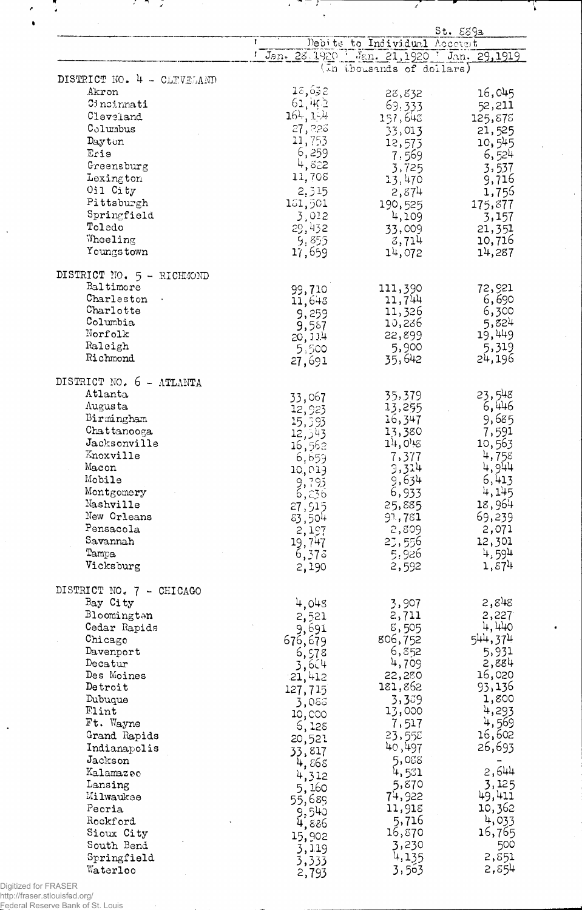|                                        |                 |                              | St. 539a                                    |
|----------------------------------------|-----------------|------------------------------|---------------------------------------------|
|                                        | -1              | Debits to Individual Account |                                             |
|                                        |                 |                              | 1 Jan. 28, 1920 Jan. 21, 1920 Jan. 29, 1919 |
| DISTRICT NO. 4 - CLEVELAND             |                 | (In thousands of dollars)    |                                             |
| Akron                                  | 18,632          | 28,832                       | 16,045                                      |
| Cincinnati                             | 61,4Ç2          | 69,333                       | 52,211                                      |
| Cleveland                              | 164, 1.4        | 157,648                      | 125,878                                     |
| Columbus                               | 27,226          | 33,013                       | 21,525                                      |
| Dayton                                 | 11,753          | 12,573                       | 10,545                                      |
| Erie                                   | 6,259           | 7,569                        | 6,524                                       |
| Greensburg                             | 4,822           | 3,725                        | 3,537                                       |
| Lexington                              | 11,708          | 13,470                       | 9,716                                       |
| Oil City                               | 2,315           | 2,874                        | 1,755                                       |
| Pittsburgh                             | 151,501         | 190,525                      | 175,877                                     |
| Springfield                            | 3,012           | 4,109                        | 3,157                                       |
| Toledo                                 | 29,432          | 33,009                       | 21,351                                      |
| Wheeling                               | 9,855           | 3,714                        | 10,716                                      |
| Youngs town                            | 17,659          | 14,072                       | 14,287                                      |
| DISTRICT NO. 5 - RICHMOND<br>Baltimore |                 |                              |                                             |
| Charleston                             | 99,710          | 111,390<br>11,744            | 72,921<br>6,690                             |
| Charlotte                              | 11,648          | 11,326                       | 6,300                                       |
| Columbia                               | 9,259<br>9,587  | 10,286                       | 5,824                                       |
| Norfolk                                | 20, 114         | 22,899                       | 19,449                                      |
| Raleigh                                | 5,500           | 5,900                        | 5,319                                       |
| Richmond                               | 27,691          | 35,642                       | 24,196                                      |
| DISTRICT NO. 6 - ATLANTA               |                 |                              |                                             |
| Atlanta                                | 33,067          | 35,379                       | 23,548                                      |
| Augus ta<br>Birmingham                 | 12,923          | 13,255                       | 6,446                                       |
| Chattanooga                            | 15,593          | 36,347<br>13,380             | 9,685<br>7,591                              |
| Jacksonville                           | 12,543          | 14,0.5                       | 10,563                                      |
| Knoxville                              | 16,562          | 7,377                        | 4,758                                       |
| Macon                                  | 6,659<br>10,019 | 3,314                        | 4,944                                       |
| Mobile                                 | 9,795           | 9,634                        | 6,413                                       |
| Montgomery                             | 6,236           | 6,933                        | 4,145                                       |
| Nashville                              | 27,915          | 25,885                       | 18,964                                      |
| New Orleans                            | 83,504          | 91,781                       | 69,239                                      |
| Pensacola                              | 2,197           | 2,809                        | 2,071                                       |
| Savannah                               | 19,747          | 23,556                       | 12,301                                      |
| Tampa                                  | 6,373           | 5,926                        | 4,594                                       |
| Vicksburg                              | 2,190           | 2,592                        | 1,874                                       |
| DISTRICT NO. 7 - CHICAGO               |                 |                              |                                             |
| Bay City                               | 4,045           | 3,907                        | 2,848                                       |
| Bloomington                            | 2,521           | 2,711                        | 2,227                                       |
| Cedar Rapids                           | 9,691           | 8,505                        | 4,440                                       |
| Chicago                                | 676,679         | 806,752                      | 544,374                                     |
| Davenport                              | 6,578           | 6,352                        | 5,931                                       |
| Decatur<br>Des Moines                  | 3,604           | 4,709<br>22,280              | 2,884<br>16,020                             |
| Detroit                                | 21,412          | 181,862                      | 93,136                                      |
| Dubuque                                | 127,715         | 3,389                        | 1,800                                       |
| Flint                                  | 3,088<br>10,000 | 13,000                       | 4,293                                       |
| Ft. Wayne                              | 5,128           | 7,517                        | 4,569                                       |
| Grand Rapids                           | 20,521          | 23,55E                       | 16,602                                      |
| Indianapolis                           | 33,817          | 40,497                       | 26,693                                      |
| Jackson                                | 4,868           | 5,088                        |                                             |
| Kalamazeo                              | 4,312           | 4,531                        | 2,644                                       |
| Lansing                                | 5,160           | 5,870                        | 3,125                                       |
| Milwaukee                              | 55,689          | 74,922                       | 49,411                                      |
| Peoria                                 | 9,540           | 11,918                       | 10,362                                      |
| Rockford                               | 4,886           | 5,716                        | 4,033                                       |
| Sioux City<br>South Bend               | 15,902          | 16,870<br>3,230              | 16,765<br>500                               |
| Springfield                            | 3,119           | 4,135                        | 2,851                                       |
| Waterloo                               | 3,333           | 3,563                        | 2,854                                       |
|                                        | 2,793           |                              |                                             |

 $\mathcal{L} = \mathcal{L} = \mathcal{L}$ 

7

Ţ

 $\frac{1}{2}$ 

J.

Digitized for FRASER<br>http://fraser.stlouisfed.org/<br>Federal Reserve Bank of St. Louis

 $\ddot{\phantom{0}}$ 

Ã,

 $\frac{1}{\epsilon}$ 

 $\ddot{\phantom{a}}$ 

 $\mathcal{F} \subset \mathcal{F}$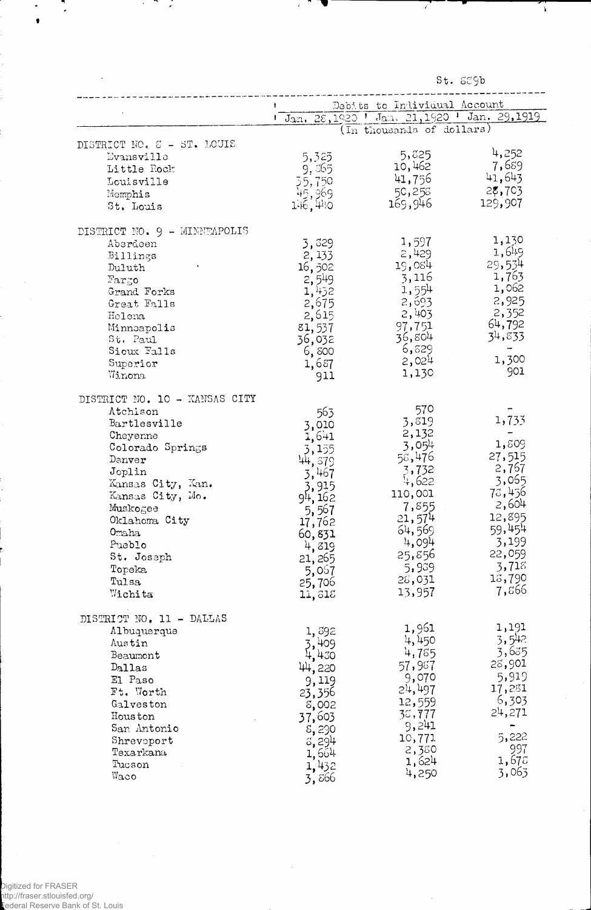St. SE9b

 $\sqrt{2}$ 

 $\hat{\mathcal{A}}$ 

 $\sim$ 

|                               |                                              | Debits to Individual Account                    |                 |
|-------------------------------|----------------------------------------------|-------------------------------------------------|-----------------|
|                               |                                              | 1 Jan. 28, 1920 1 Jan. 21, 1920 1 Jan. 29, 1919 |                 |
|                               |                                              | $(\overline{\text{In}}$ thousands of dollars)   |                 |
| DISTRICT NO. 8 - ST. LOUIS    |                                              |                                                 |                 |
| Evansville                    | 5,325                                        | 5,825                                           | 4,252           |
| Little Rock                   |                                              | 10,462                                          | 7,689           |
| Louisville                    |                                              | 41,756                                          | 41,643          |
| Memphis                       |                                              | 50,258                                          | 28,703          |
| St. Louis                     | $9,365$<br>$55,750$<br>$45,969$<br>$146,440$ | 169,946                                         | 129,907         |
|                               |                                              |                                                 |                 |
| DISTRICT NO. 9 - MINNEAPOLIS  |                                              | 1,597                                           | 1,130           |
| Aberdeen<br>Billings          | 3,829                                        | 2,429                                           | 1,649           |
| Duluth                        | 2,133<br>16,502                              | 19,084                                          | 29,534          |
| $r_{\text{argo}}$             |                                              | 3,116                                           | 1,763           |
| Grand Forks                   | 2,549                                        | 1,554                                           | 1,062           |
| Great Falls                   | 1,452                                        | 2,693                                           | 2,925           |
| Helena                        | 2,675                                        | 2,403                                           | 2,352           |
|                               | 2,615                                        | 97,751                                          | 64,792          |
| Minneapolis<br>St. Paul       | 81,537                                       | 36,804                                          | 34,833          |
| Sioux Falls                   | 36,032                                       | 6,829                                           |                 |
| Superior                      | 6,800                                        | 2,024                                           | 1,300           |
| Winona.                       | 1,687                                        | 1,130                                           | 901             |
|                               | 911                                          |                                                 |                 |
| DISTRICT NO. 10 - KANSAS CITY |                                              |                                                 |                 |
| Atchison                      | 563                                          | 570                                             |                 |
| Bartlesville                  | 3,010                                        | 3,819                                           | 1,733           |
| Cheyenne                      | 1,641                                        | 2,132                                           |                 |
| Colorado Springs              | 3,155                                        | 3,054                                           | 1,809           |
| Denver                        | 44,579                                       | 58,476                                          | 27,515          |
| Joplin                        | 3,467                                        | 3,732                                           | 2,767           |
| Kansas City, Kan.             | 3,915                                        | 4,622                                           | 3,065           |
| Kansas City, Mo.              | 94, 162                                      | 110,001                                         | 78,456          |
| Muskogee                      | 5,567                                        | 7,855                                           | 2,604           |
| Oklahoma City                 | 17,762                                       | 21,574                                          | 12,895          |
| Omaha                         | 60,831                                       | 64,569                                          | 59,454          |
| Pueblo                        | 4,819                                        | 4,094                                           | 3,199           |
| St. Joseph                    | 21, 265                                      | 25,856                                          | 22,059          |
| Topeka                        | 5,067                                        | 5,939                                           | 3,718           |
| Tulsa                         | 25,706                                       | 28,031                                          | 13,790          |
| Wichita                       | 11,818                                       | 13,957                                          | 7,866           |
|                               |                                              |                                                 |                 |
| DISTRICT NO. 11 - DALLAS      |                                              | 1,961                                           | 1,191           |
| Albuquerque                   | 1,592                                        | 4,450                                           | 3,542           |
| Austin                        | 3,409                                        |                                                 | 3,635           |
| Beaumont                      | 4,430                                        | 4,785                                           | 28,901          |
| Dallas                        | 44,220                                       | 57,987                                          | 5,919           |
| El Paso                       | 9,119                                        | 9,070                                           | 17,281          |
| Ft. Worth                     | 23,356                                       | 24,497                                          |                 |
| Galveston                     | 8,002                                        | 12,559                                          | 6,303<br>24,271 |
| Houston                       | 37,603                                       | 35,777                                          |                 |
| San Antonio                   | 8,290                                        | 9,241                                           | 5,222           |
| Shreveport                    | 3,294                                        | 10,771                                          | 997             |
| Texarkana                     | 1,664                                        | 2,380                                           | 1,678           |
| Tucson                        | 1,432                                        | 1,624                                           | 3,063           |
| Waco                          | 3,866                                        | 4,250                                           |                 |

 $\bar{\gamma}$ 

 $\ddot{\phantom{0}}$ 

 $\ddot{\cdot}$ 

 $\mathcal{F}$ -752

 $\epsilon$ 

 $\bullet$ 

l,

 $\hat{\mathcal{A}}$ 

 $\hat{\boldsymbol{\epsilon}}$ 

Digitized for FRASER<br>http://fraser.stlouisfed.org/<br>Lederal Reserve Bank of St. Louis